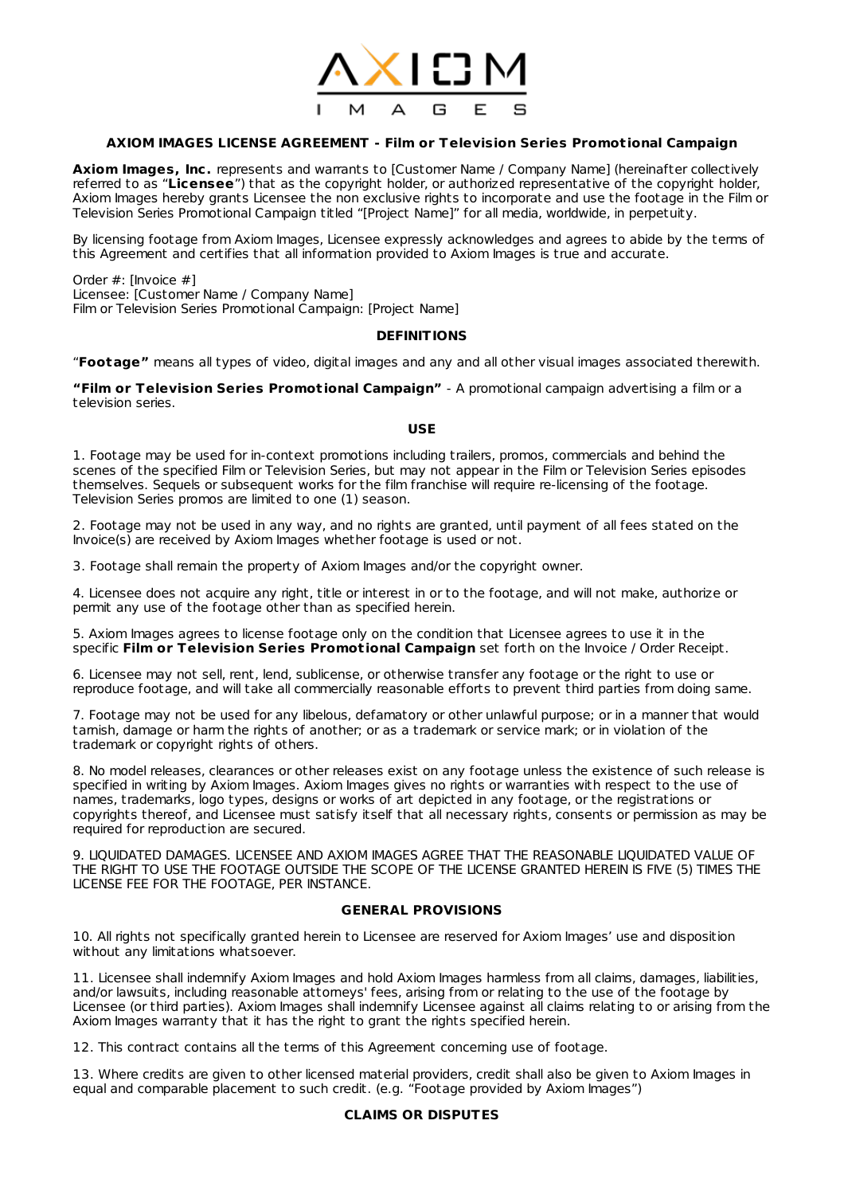

# **AXIOM IMAGES LICENSE AGREEMENT - Film or Television Series Promot ional Campaign**

**Axiom Images, Inc.** represents and warrants to [Customer Name / Company Name] (hereinafter collectively referred to as "**Licensee**") that as the copyright holder, or authorized representative of the copyright holder, Axiom Images hereby grants Licensee the non exclusive rights to incorporate and use the footage in the Film or Television Series Promotional Campaign titled "[Project Name]" for all media, worldwide, in perpetuity.

By licensing footage from Axiom Images, Licensee expressly acknowledges and agrees to abide by the terms of this Agreement and certifies that all information provided to Axiom Images is true and accurate.

Order #: [Invoice #] Licensee: [Customer Name / Company Name] Film or Television Series Promotional Campaign: [Project Name]

### **DEFINITIONS**

"**Footage"** means all types of video, digital images and any and all other visual images associated therewith.

**"Film or Television Series Promot ional Campaign"** - A promotional campaign advertising a film or a television series.

### **USE**

1. Footage may be used for in-context promotions including trailers, promos, commercials and behind the scenes of the specified Film or Television Series, but may not appear in the Film or Television Series episodes themselves. Sequels or subsequent works for the film franchise will require re-licensing of the footage. Television Series promos are limited to one (1) season.

2. Footage may not be used in any way, and no rights are granted, until payment of all fees stated on the Invoice(s) are received by Axiom Images whether footage is used or not.

3. Footage shall remain the property of Axiom Images and/or the copyright owner.

4. Licensee does not acquire any right, title or interest in or to the footage, and will not make, authorize or permit any use of the footage other than as specified herein.

5. Axiom Images agrees to license footage only on the condition that Licensee agrees to use it in the specific **Film or Television Series Promot ional Campaign** set forth on the Invoice / Order Receipt.

6. Licensee may not sell, rent, lend, sublicense, or otherwise transfer any footage or the right to use or reproduce footage, and will take all commercially reasonable efforts to prevent third parties from doing same.

7. Footage may not be used for any libelous, defamatory or other unlawful purpose; or in a manner that would tarnish, damage or harm the rights of another; or as a trademark or service mark; or in violation of the trademark or copyright rights of others.

8. No model releases, clearances or other releases exist on any footage unless the existence of such release is specified in writing by Axiom Images. Axiom Images gives no rights or warranties with respect to the use of names, trademarks, logo types, designs or works of art depicted in any footage, or the registrations or copyrights thereof, and Licensee must satisfy itself that all necessary rights, consents or permission as may be required for reproduction are secured.

9. LIQUIDATED DAMAGES. LICENSEE AND AXIOM IMAGES AGREE THAT THE REASONABLE LIQUIDATED VALUE OF THE RIGHT TO USE THE FOOTAGE OUTSIDE THE SCOPE OF THE LICENSE GRANTED HEREIN IS FIVE (5) TIMES THE LICENSE FEE FOR THE FOOTAGE, PER INSTANCE.

### **GENERAL PROVISIONS**

10. All rights not specifically granted herein to Licensee are reserved for Axiom Images' use and disposition without any limitations whatsoever.

11. Licensee shall indemnify Axiom Images and hold Axiom Images harmless from all claims, damages, liabilities, and/or lawsuits, including reasonable attorneys' fees, arising from or relating to the use of the footage by Licensee (or third parties). Axiom Images shall indemnify Licensee against all claims relating to or arising from the Axiom Images warranty that it has the right to grant the rights specified herein.

12. This contract contains all the terms of this Agreement concerning use of footage.

13. Where credits are given to other licensed material providers, credit shall also be given to Axiom Images in equal and comparable placement to such credit. (e.g. "Footage provided by Axiom Images")

# **CLAIMS OR DISPUTES**